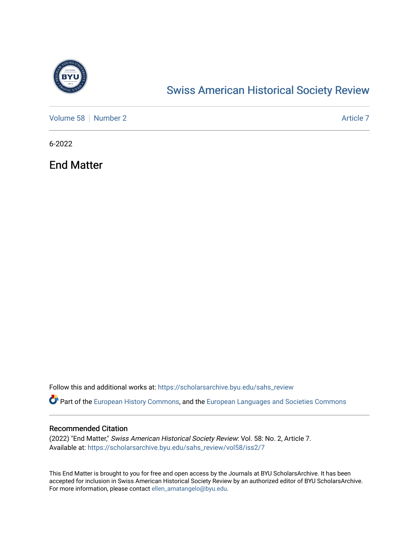

# [Swiss American Historical Society Review](https://scholarsarchive.byu.edu/sahs_review)

[Volume 58](https://scholarsarchive.byu.edu/sahs_review/vol58) [Number 2](https://scholarsarchive.byu.edu/sahs_review/vol58/iss2) Article 7

6-2022

End Matter

Follow this and additional works at: [https://scholarsarchive.byu.edu/sahs\\_review](https://scholarsarchive.byu.edu/sahs_review?utm_source=scholarsarchive.byu.edu%2Fsahs_review%2Fvol58%2Fiss2%2F7&utm_medium=PDF&utm_campaign=PDFCoverPages)

Part of the [European History Commons](https://network.bepress.com/hgg/discipline/492?utm_source=scholarsarchive.byu.edu%2Fsahs_review%2Fvol58%2Fiss2%2F7&utm_medium=PDF&utm_campaign=PDFCoverPages), and the [European Languages and Societies Commons](https://network.bepress.com/hgg/discipline/482?utm_source=scholarsarchive.byu.edu%2Fsahs_review%2Fvol58%2Fiss2%2F7&utm_medium=PDF&utm_campaign=PDFCoverPages)

### Recommended Citation

(2022) "End Matter," Swiss American Historical Society Review: Vol. 58: No. 2, Article 7. Available at: [https://scholarsarchive.byu.edu/sahs\\_review/vol58/iss2/7](https://scholarsarchive.byu.edu/sahs_review/vol58/iss2/7?utm_source=scholarsarchive.byu.edu%2Fsahs_review%2Fvol58%2Fiss2%2F7&utm_medium=PDF&utm_campaign=PDFCoverPages) 

This End Matter is brought to you for free and open access by the Journals at BYU ScholarsArchive. It has been accepted for inclusion in Swiss American Historical Society Review by an authorized editor of BYU ScholarsArchive. For more information, please contact [ellen\\_amatangelo@byu.edu.](mailto:ellen_amatangelo@byu.edu)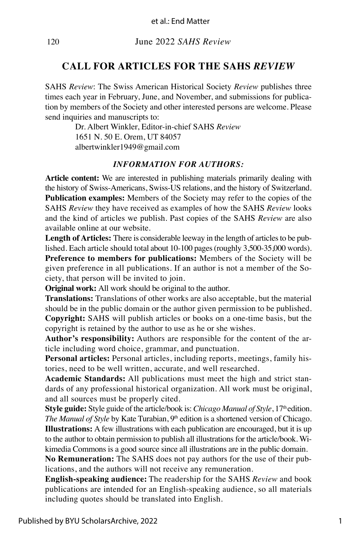120June 2022 *SAHS Review*

## **CALL FOR ARTICLES FOR THE SAHS** *REVIEW*

SAHS *Review*: The Swiss American Historical Society *Review* publishes three times each year in February, June, and November, and submissions for publication by members of the Society and other interested persons are welcome. Please send inquiries and manuscripts to:

> Dr. Albert Winkler, Editor-in-chief SAHS *Review* 1651 N. 50 E. Orem, UT 84057 albertwinkler1949@gmail.com

#### *INFORMATION FOR AUTHORS:*

**Article content:** We are interested in publishing materials primarily dealing with the history of Swiss-Americans, Swiss-US relations, and the history of Switzerland. **Publication examples:** Members of the Society may refer to the copies of the SAHS *Review* they have received as examples of how the SAHS *Review* looks and the kind of articles we publish. Past copies of the SAHS *Review* are also available online at our website.

**Length of Articles:** There is considerable leeway in the length of articles to be published. Each article should total about 10-100 pages (roughly 3,500-35,000 words). **Preference to members for publications:** Members of the Society will be given preference in all publications. If an author is not a member of the Society, that person will be invited to join.

**Original work:** All work should be original to the author.

**Translations:** Translations of other works are also acceptable, but the material should be in the public domain or the author given permission to be published. **Copyright:** SAHS will publish articles or books on a one-time basis, but the copyright is retained by the author to use as he or she wishes.

**Author's responsibility:** Authors are responsible for the content of the article including word choice, grammar, and punctuation.

**Personal articles:** Personal articles, including reports, meetings, family histories, need to be well written, accurate, and well researched.

**Academic Standards:** All publications must meet the high and strict standards of any professional historical organization. All work must be original, and all sources must be properly cited.

**Style guide:** Style guide of the article/book is: *Chicago Manual of Style*, 17<sup>th</sup> edition. *The Manual of Style* by Kate Turabian, 9<sup>th</sup> edition is a shortened version of Chicago. **Illustrations:** A few illustrations with each publication are encouraged, but it is up to the author to obtain permission to publish all illustrations for the article/book. Wikimedia Commons is a good source since all illustrations are in the public domain.

**No Remuneration:** The SAHS does not pay authors for the use of their publications, and the authors will not receive any remuneration.

**English-speaking audience:** The readership for the SAHS *Review* and book publications are intended for an English-speaking audience, so all materials including quotes should be translated into English.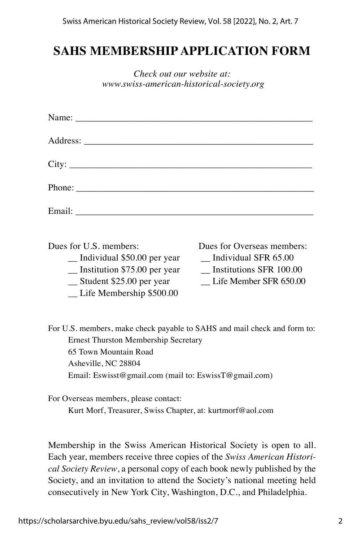## **SAHS MEMBERSHIP APPLICATION FORM**

| Check out our website at:                 |
|-------------------------------------------|
| www.swiss-american-historical-society.org |

| City:                                                                                                                                                                         |                                                                                                                |
|-------------------------------------------------------------------------------------------------------------------------------------------------------------------------------|----------------------------------------------------------------------------------------------------------------|
|                                                                                                                                                                               |                                                                                                                |
|                                                                                                                                                                               |                                                                                                                |
| Dues for U.S. members:<br>$\equiv$ Individual \$50.00 per year<br>$\frac{1}{2}$ Institution \$75.00 per year<br>$\_\_$ Student \$25.00 per year<br>_ Life Membership \$500.00 | Dues for Overseas members:<br>$\sim$ Individual SFR 65.00<br>Institutions SFR 100.00<br>Life Member SFR 650.00 |
| For U.S. members, make check payable to SAHS and mail check and form to:<br><b>Ernest Thurston Membership Secretary</b><br>65 Town Mountain Road<br>Asheville, NC 28804       |                                                                                                                |

Email: Eswisst@gmail.com (mail to: EswissT@gmail.com)

For Overseas members, please contact: Kurt Morf, Treasurer, Swiss Chapter, at: kurtmorf@aol.com

Membership in the Swiss American Historical Society is open to all. Each year, members receive three copies of the *Swiss American Historical Society Review*, a personal copy of each book newly published by the Society, and an invitation to attend the Society's national meeting held consecutively in New York City, Washington, D.C., and Philadelphia.